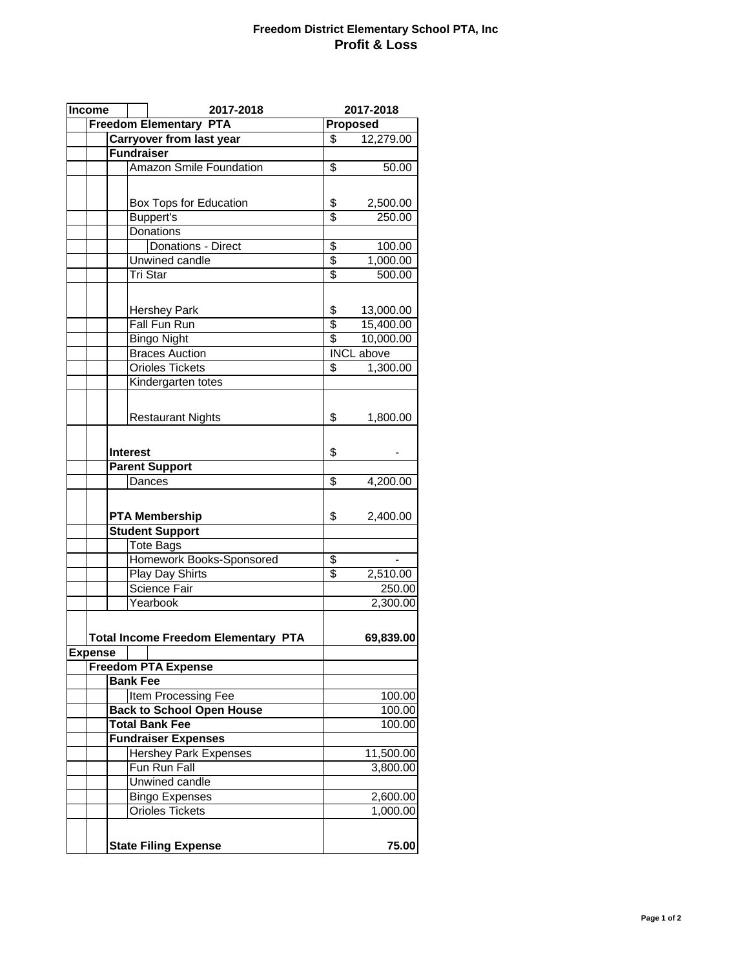## **Freedom District Elementary School PTA, Inc Profit & Loss**

| Income<br>2017-2018        |                   | 2017-2018                                  |                       |                   |
|----------------------------|-------------------|--------------------------------------------|-----------------------|-------------------|
|                            |                   | <b>Freedom Elementary PTA</b>              |                       | Proposed          |
|                            |                   | Carryover from last year                   | \$                    | 12,279.00         |
|                            | <b>Fundraiser</b> |                                            |                       |                   |
|                            |                   | <b>Amazon Smile Foundation</b>             | \$                    | 50.00             |
|                            |                   |                                            |                       |                   |
|                            |                   | Box Tops for Education                     | \$                    | 2,500.00          |
|                            |                   | <b>Buppert's</b>                           | \$                    | 250.00            |
|                            |                   | Donations                                  |                       |                   |
|                            |                   | Donations - Direct                         | \$                    | 100.00            |
|                            |                   | Unwined candle                             | \$                    | 1,000.00          |
|                            |                   | Tri Star                                   | \$                    | 500.00            |
|                            |                   |                                            |                       |                   |
|                            |                   |                                            |                       | 13,000.00         |
|                            |                   | <b>Hershey Park</b><br><b>Fall Fun Run</b> | \$<br>$\overline{\$}$ | 15,400.00         |
|                            |                   | <b>Bingo Night</b>                         | \$                    | 10,000.00         |
|                            |                   | <b>Braces Auction</b>                      |                       | <b>INCL</b> above |
|                            |                   | Orioles Tickets                            | \$                    | 1,300.00          |
|                            |                   | Kindergarten totes                         |                       |                   |
|                            |                   |                                            |                       |                   |
|                            |                   |                                            |                       |                   |
|                            |                   | <b>Restaurant Nights</b>                   | \$                    | 1,800.00          |
|                            |                   |                                            |                       |                   |
|                            | <b>Interest</b>   |                                            | \$                    |                   |
|                            |                   | <b>Parent Support</b>                      |                       |                   |
|                            |                   | Dances                                     | \$                    | 4,200.00          |
|                            |                   |                                            |                       |                   |
|                            |                   |                                            |                       |                   |
|                            |                   | <b>PTA Membership</b>                      | \$                    | 2,400.00          |
| <b>Student Support</b>     |                   |                                            |                       |                   |
|                            |                   | <b>Tote Bags</b>                           |                       |                   |
|                            |                   | Homework Books-Sponsored                   | \$                    |                   |
|                            |                   | <b>Play Day Shirts</b>                     | \$                    | 2,510.00          |
|                            |                   | <b>Science Fair</b>                        |                       | 250.00            |
|                            |                   | Yearbook                                   |                       | 2,300.00          |
|                            |                   |                                            |                       |                   |
|                            |                   | <b>Total Income Freedom Elementary PTA</b> |                       | 69,839.00         |
| <b>Expense</b>             |                   |                                            |                       |                   |
|                            |                   | <b>Freedom PTA Expense</b>                 |                       |                   |
|                            | <b>Bank Fee</b>   |                                            |                       |                   |
|                            |                   | <b>Item Processing Fee</b>                 |                       | 100.00            |
|                            |                   | <b>Back to School Open House</b>           |                       | 100.00            |
|                            |                   | <b>Total Bank Fee</b>                      |                       | 100.00            |
| <b>Fundraiser Expenses</b> |                   |                                            |                       |                   |
|                            |                   | <b>Hershey Park Expenses</b>               |                       | 11,500.00         |
|                            |                   | Fun Run Fall                               |                       | 3,800.00          |
|                            |                   | <b>Unwined candle</b>                      |                       |                   |
|                            |                   | <b>Bingo Expenses</b>                      |                       | 2,600.00          |
|                            |                   | <b>Orioles Tickets</b>                     |                       | 1,000.00          |
|                            |                   |                                            |                       |                   |
|                            |                   |                                            |                       |                   |
|                            |                   | <b>State Filing Expense</b>                |                       | 75.00             |